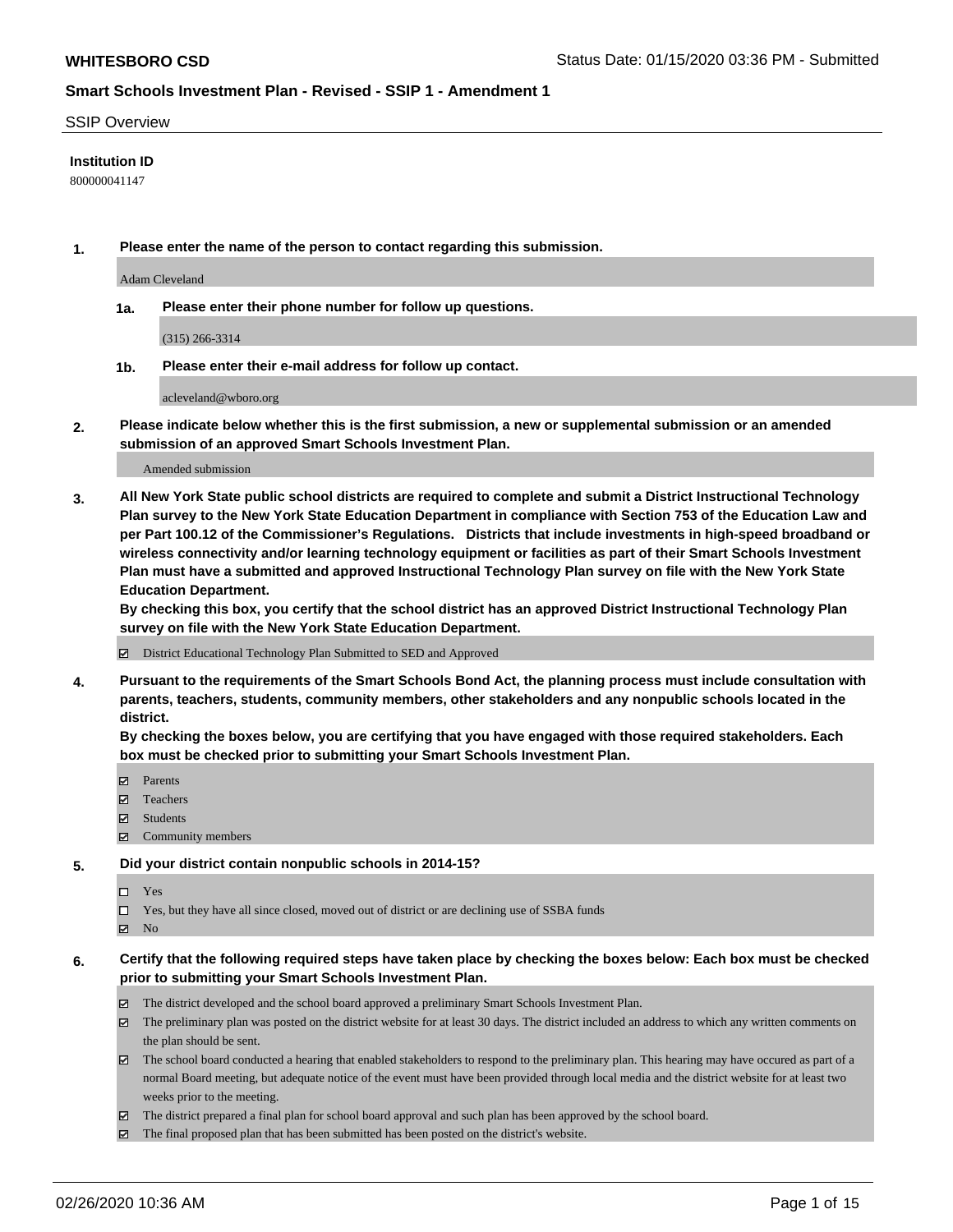#### SSIP Overview

### **Institution ID**

800000041147

**1. Please enter the name of the person to contact regarding this submission.**

Adam Cleveland

**1a. Please enter their phone number for follow up questions.**

(315) 266-3314

**1b. Please enter their e-mail address for follow up contact.**

acleveland@wboro.org

**2. Please indicate below whether this is the first submission, a new or supplemental submission or an amended submission of an approved Smart Schools Investment Plan.**

#### Amended submission

**3. All New York State public school districts are required to complete and submit a District Instructional Technology Plan survey to the New York State Education Department in compliance with Section 753 of the Education Law and per Part 100.12 of the Commissioner's Regulations. Districts that include investments in high-speed broadband or wireless connectivity and/or learning technology equipment or facilities as part of their Smart Schools Investment Plan must have a submitted and approved Instructional Technology Plan survey on file with the New York State Education Department.** 

**By checking this box, you certify that the school district has an approved District Instructional Technology Plan survey on file with the New York State Education Department.**

District Educational Technology Plan Submitted to SED and Approved

**4. Pursuant to the requirements of the Smart Schools Bond Act, the planning process must include consultation with parents, teachers, students, community members, other stakeholders and any nonpublic schools located in the district.** 

**By checking the boxes below, you are certifying that you have engaged with those required stakeholders. Each box must be checked prior to submitting your Smart Schools Investment Plan.**

- **マ** Parents
- Teachers
- Students
- Community members

#### **5. Did your district contain nonpublic schools in 2014-15?**

 $\neg$  Yes

Yes, but they have all since closed, moved out of district or are declining use of SSBA funds

**Z** No

### **6. Certify that the following required steps have taken place by checking the boxes below: Each box must be checked prior to submitting your Smart Schools Investment Plan.**

- The district developed and the school board approved a preliminary Smart Schools Investment Plan.
- $\boxtimes$  The preliminary plan was posted on the district website for at least 30 days. The district included an address to which any written comments on the plan should be sent.
- $\boxtimes$  The school board conducted a hearing that enabled stakeholders to respond to the preliminary plan. This hearing may have occured as part of a normal Board meeting, but adequate notice of the event must have been provided through local media and the district website for at least two weeks prior to the meeting.
- The district prepared a final plan for school board approval and such plan has been approved by the school board.
- $\boxtimes$  The final proposed plan that has been submitted has been posted on the district's website.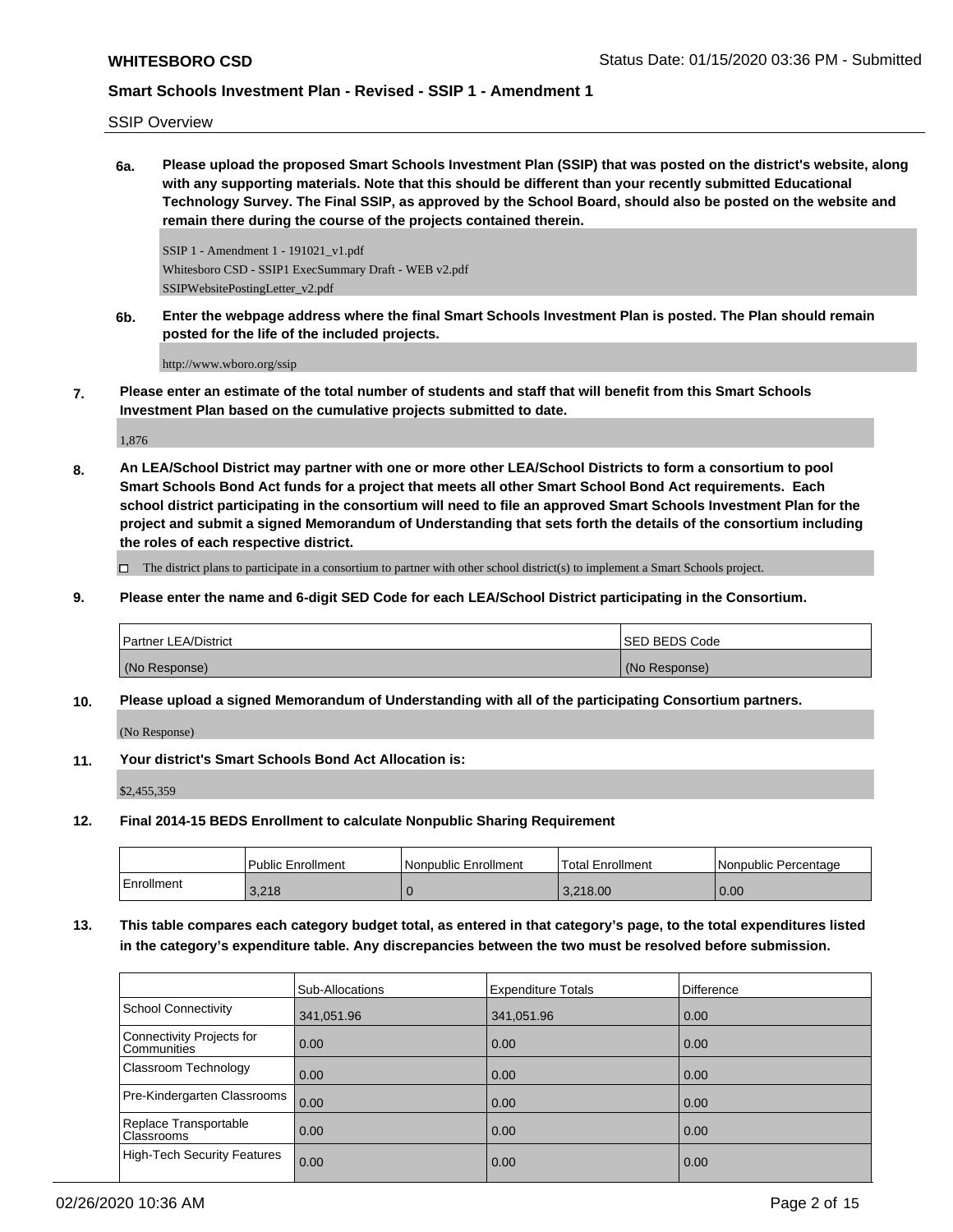SSIP Overview

**6a. Please upload the proposed Smart Schools Investment Plan (SSIP) that was posted on the district's website, along with any supporting materials. Note that this should be different than your recently submitted Educational Technology Survey. The Final SSIP, as approved by the School Board, should also be posted on the website and remain there during the course of the projects contained therein.**

SSIP 1 - Amendment 1 - 191021\_v1.pdf Whitesboro CSD - SSIP1 ExecSummary Draft - WEB v2.pdf SSIPWebsitePostingLetter\_v2.pdf

**6b. Enter the webpage address where the final Smart Schools Investment Plan is posted. The Plan should remain posted for the life of the included projects.**

http://www.wboro.org/ssip

**7. Please enter an estimate of the total number of students and staff that will benefit from this Smart Schools Investment Plan based on the cumulative projects submitted to date.**

1,876

**8. An LEA/School District may partner with one or more other LEA/School Districts to form a consortium to pool Smart Schools Bond Act funds for a project that meets all other Smart School Bond Act requirements. Each school district participating in the consortium will need to file an approved Smart Schools Investment Plan for the project and submit a signed Memorandum of Understanding that sets forth the details of the consortium including the roles of each respective district.**

 $\Box$  The district plans to participate in a consortium to partner with other school district(s) to implement a Smart Schools project.

**9. Please enter the name and 6-digit SED Code for each LEA/School District participating in the Consortium.**

| <b>Partner LEA/District</b> | <b>ISED BEDS Code</b> |
|-----------------------------|-----------------------|
| (No Response)               | (No Response)         |

**10. Please upload a signed Memorandum of Understanding with all of the participating Consortium partners.**

(No Response)

**11. Your district's Smart Schools Bond Act Allocation is:**

\$2,455,359

**12. Final 2014-15 BEDS Enrollment to calculate Nonpublic Sharing Requirement**

|            | Public Enrollment | Nonpublic Enrollment | Total Enrollment | l Nonpublic Percentage |
|------------|-------------------|----------------------|------------------|------------------------|
| Enrollment | 3.218             |                      | 3.218.00         | 0.00                   |

**13. This table compares each category budget total, as entered in that category's page, to the total expenditures listed in the category's expenditure table. Any discrepancies between the two must be resolved before submission.**

|                                          | Sub-Allocations | <b>Expenditure Totals</b> | <b>Difference</b> |
|------------------------------------------|-----------------|---------------------------|-------------------|
| <b>School Connectivity</b>               | 341,051.96      | 341,051.96                | 0.00              |
| Connectivity Projects for<br>Communities | 0.00            | 0.00                      | 0.00              |
| Classroom Technology                     | 0.00            | 0.00                      | 0.00              |
| Pre-Kindergarten Classrooms              | 0.00            | 0.00                      | 0.00              |
| Replace Transportable<br>Classrooms      | 0.00            | 0.00                      | 0.00              |
| <b>High-Tech Security Features</b>       | 0.00            | 0.00                      | 0.00              |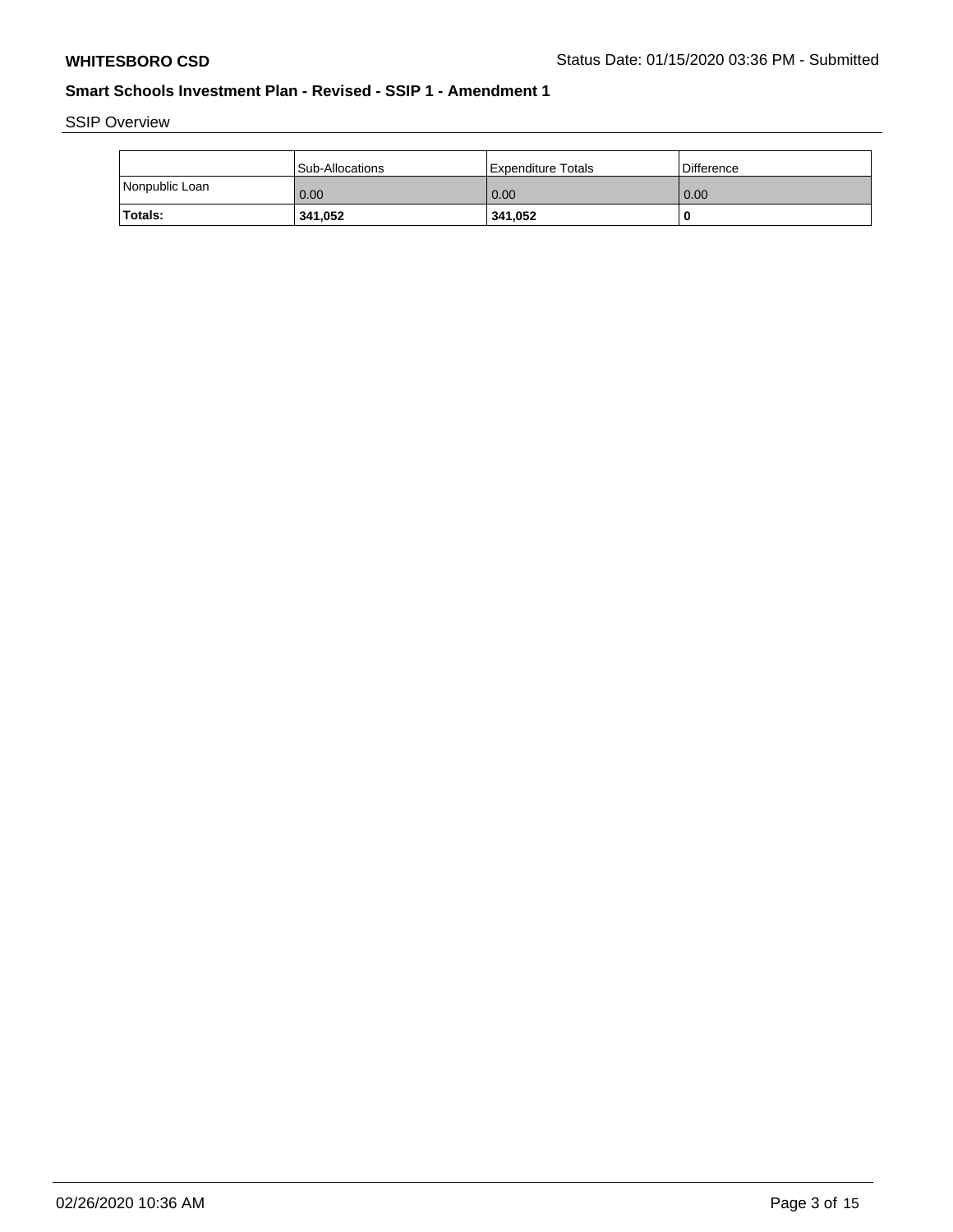SSIP Overview

|                | Sub-Allocations | l Expenditure Totals | <b>Difference</b> |
|----------------|-----------------|----------------------|-------------------|
| Nonpublic Loan | 0.00            | 0.00                 | 0.00              |
| Totals:        | 341,052         | 341,052              | -C                |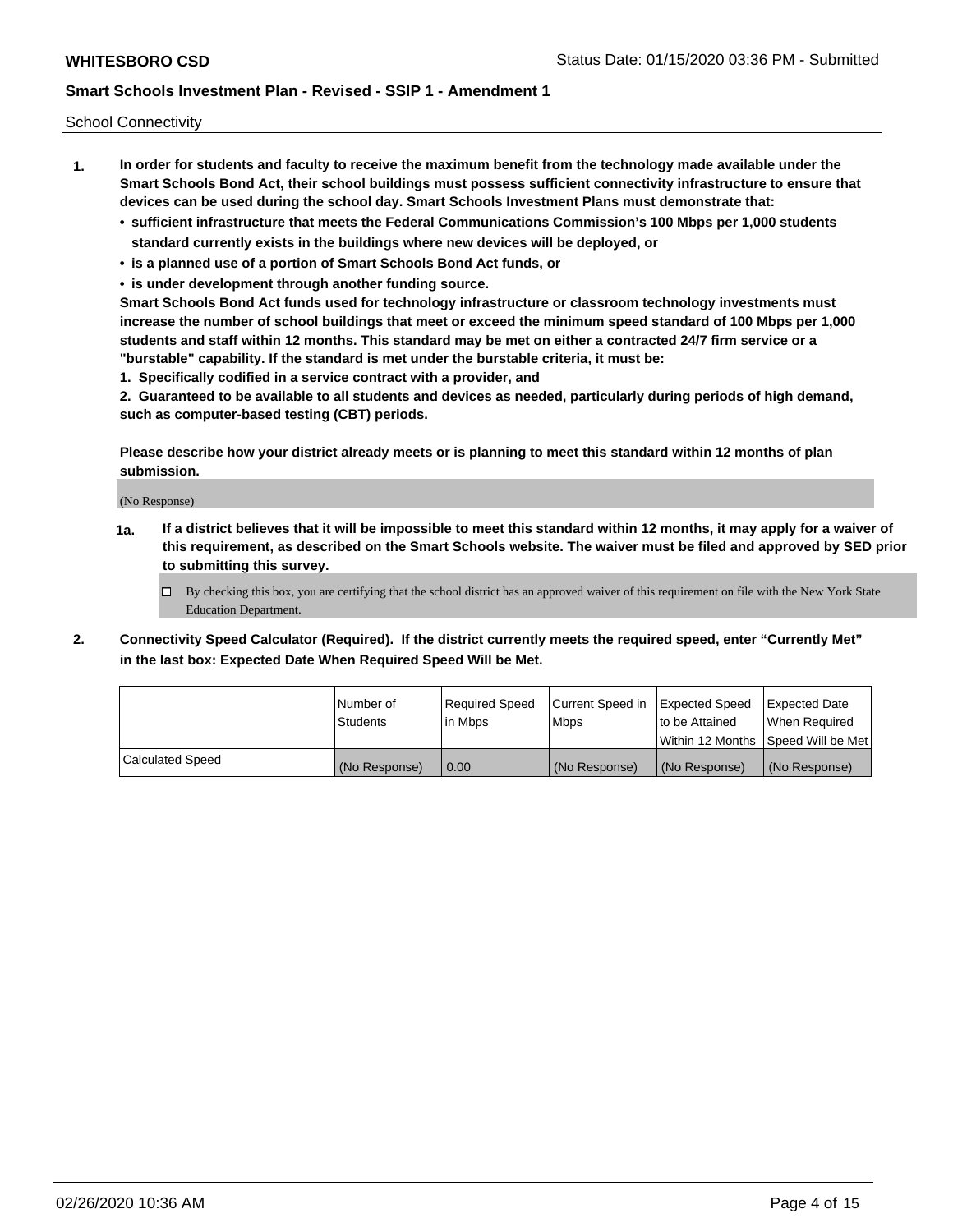School Connectivity

- **1. In order for students and faculty to receive the maximum benefit from the technology made available under the Smart Schools Bond Act, their school buildings must possess sufficient connectivity infrastructure to ensure that devices can be used during the school day. Smart Schools Investment Plans must demonstrate that:**
	- **• sufficient infrastructure that meets the Federal Communications Commission's 100 Mbps per 1,000 students standard currently exists in the buildings where new devices will be deployed, or**
	- **• is a planned use of a portion of Smart Schools Bond Act funds, or**
	- **• is under development through another funding source.**

**Smart Schools Bond Act funds used for technology infrastructure or classroom technology investments must increase the number of school buildings that meet or exceed the minimum speed standard of 100 Mbps per 1,000 students and staff within 12 months. This standard may be met on either a contracted 24/7 firm service or a "burstable" capability. If the standard is met under the burstable criteria, it must be:**

**1. Specifically codified in a service contract with a provider, and**

**2. Guaranteed to be available to all students and devices as needed, particularly during periods of high demand, such as computer-based testing (CBT) periods.**

**Please describe how your district already meets or is planning to meet this standard within 12 months of plan submission.**

(No Response)

**1a. If a district believes that it will be impossible to meet this standard within 12 months, it may apply for a waiver of this requirement, as described on the Smart Schools website. The waiver must be filed and approved by SED prior to submitting this survey.**

 $\Box$  By checking this box, you are certifying that the school district has an approved waiver of this requirement on file with the New York State Education Department.

- 
- **2. Connectivity Speed Calculator (Required). If the district currently meets the required speed, enter "Currently Met" in the last box: Expected Date When Required Speed Will be Met.**

|                         | l Number of   | Required Speed | Current Speed in | Expected Speed                      | <b>Expected Date</b> |
|-------------------------|---------------|----------------|------------------|-------------------------------------|----------------------|
|                         | Students      | lin Mbps       | <b>Mbps</b>      | to be Attained                      | When Required        |
|                         |               |                |                  | Within 12 Months ISpeed Will be Met |                      |
| <b>Calculated Speed</b> | (No Response) | 0.00           | (No Response)    | (No Response)                       | (No Response)        |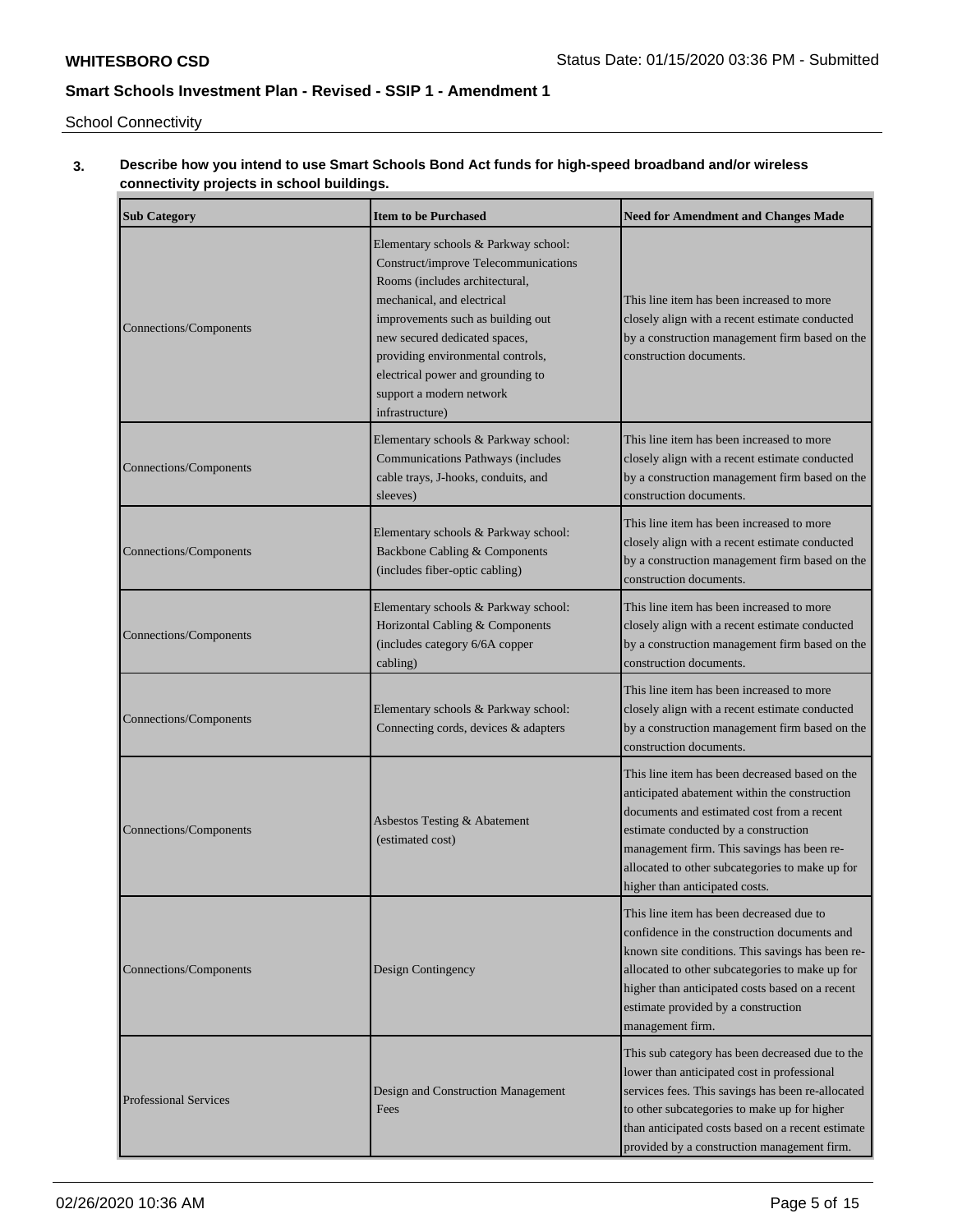u.

# **Smart Schools Investment Plan - Revised - SSIP 1 - Amendment 1**

School Connectivity

## **3. Describe how you intend to use Smart Schools Bond Act funds for high-speed broadband and/or wireless connectivity projects in school buildings.**

| <b>Sub Category</b>          | <b>Item to be Purchased</b>                                                                                                                                                                                                                                                                                                                 | <b>Need for Amendment and Changes Made</b>                                                                                                                                                                                                                                                                               |
|------------------------------|---------------------------------------------------------------------------------------------------------------------------------------------------------------------------------------------------------------------------------------------------------------------------------------------------------------------------------------------|--------------------------------------------------------------------------------------------------------------------------------------------------------------------------------------------------------------------------------------------------------------------------------------------------------------------------|
| Connections/Components       | Elementary schools & Parkway school:<br>Construct/improve Telecommunications<br>Rooms (includes architectural,<br>mechanical, and electrical<br>improvements such as building out<br>new secured dedicated spaces,<br>providing environmental controls,<br>electrical power and grounding to<br>support a modern network<br>infrastructure) | This line item has been increased to more<br>closely align with a recent estimate conducted<br>by a construction management firm based on the<br>construction documents.                                                                                                                                                 |
| Connections/Components       | Elementary schools & Parkway school:<br>Communications Pathways (includes<br>cable trays, J-hooks, conduits, and<br>sleeves)                                                                                                                                                                                                                | This line item has been increased to more<br>closely align with a recent estimate conducted<br>by a construction management firm based on the<br>construction documents.                                                                                                                                                 |
| Connections/Components       | Elementary schools & Parkway school:<br>Backbone Cabling & Components<br>(includes fiber-optic cabling)                                                                                                                                                                                                                                     | This line item has been increased to more<br>closely align with a recent estimate conducted<br>by a construction management firm based on the<br>construction documents.                                                                                                                                                 |
| Connections/Components       | Elementary schools & Parkway school:<br>Horizontal Cabling & Components<br>(includes category 6/6A copper<br>cabling)                                                                                                                                                                                                                       | This line item has been increased to more<br>closely align with a recent estimate conducted<br>by a construction management firm based on the<br>construction documents.                                                                                                                                                 |
| Connections/Components       | Elementary schools & Parkway school:<br>Connecting cords, devices & adapters                                                                                                                                                                                                                                                                | This line item has been increased to more<br>closely align with a recent estimate conducted<br>by a construction management firm based on the<br>construction documents.                                                                                                                                                 |
| Connections/Components       | Asbestos Testing & Abatement<br>(estimated cost)                                                                                                                                                                                                                                                                                            | This line item has been decreased based on the<br>anticipated abatement within the construction<br>documents and estimated cost from a recent<br>estimate conducted by a construction<br>management firm. This savings has been re-<br>allocated to other subcategories to make up for<br>higher than anticipated costs. |
| Connections/Components       | Design Contingency                                                                                                                                                                                                                                                                                                                          | This line item has been decreased due to<br>confidence in the construction documents and<br>known site conditions. This savings has been re-<br>allocated to other subcategories to make up for<br>higher than anticipated costs based on a recent<br>estimate provided by a construction<br>management firm.            |
| <b>Professional Services</b> | Design and Construction Management<br>Fees                                                                                                                                                                                                                                                                                                  | This sub category has been decreased due to the<br>lower than anticipated cost in professional<br>services fees. This savings has been re-allocated<br>to other subcategories to make up for higher<br>than anticipated costs based on a recent estimate<br>provided by a construction management firm.                  |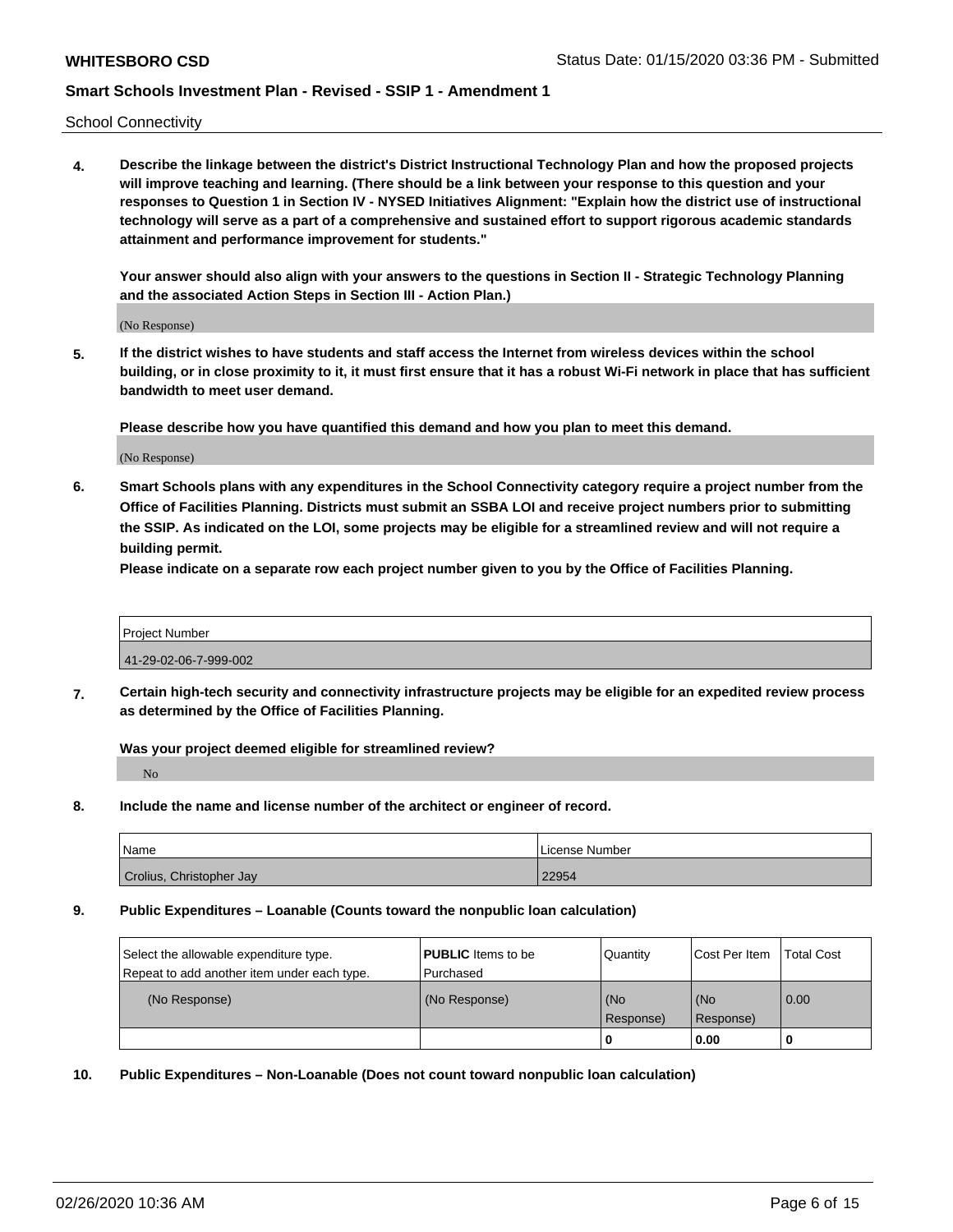School Connectivity

**4. Describe the linkage between the district's District Instructional Technology Plan and how the proposed projects will improve teaching and learning. (There should be a link between your response to this question and your responses to Question 1 in Section IV - NYSED Initiatives Alignment: "Explain how the district use of instructional technology will serve as a part of a comprehensive and sustained effort to support rigorous academic standards attainment and performance improvement for students."** 

**Your answer should also align with your answers to the questions in Section II - Strategic Technology Planning and the associated Action Steps in Section III - Action Plan.)**

(No Response)

**5. If the district wishes to have students and staff access the Internet from wireless devices within the school building, or in close proximity to it, it must first ensure that it has a robust Wi-Fi network in place that has sufficient bandwidth to meet user demand.**

**Please describe how you have quantified this demand and how you plan to meet this demand.**

(No Response)

**6. Smart Schools plans with any expenditures in the School Connectivity category require a project number from the Office of Facilities Planning. Districts must submit an SSBA LOI and receive project numbers prior to submitting the SSIP. As indicated on the LOI, some projects may be eligible for a streamlined review and will not require a building permit.**

**Please indicate on a separate row each project number given to you by the Office of Facilities Planning.**

| <b>Project Number</b> |  |
|-----------------------|--|
| 41-29-02-06-7-999-002 |  |
|                       |  |

**7. Certain high-tech security and connectivity infrastructure projects may be eligible for an expedited review process as determined by the Office of Facilities Planning.**

**Was your project deemed eligible for streamlined review?** No

**8. Include the name and license number of the architect or engineer of record.**

| <b>Name</b>              | License Number |
|--------------------------|----------------|
| Crolius, Christopher Jay | 22954          |

**9. Public Expenditures – Loanable (Counts toward the nonpublic loan calculation)**

| Select the allowable expenditure type.      | <b>PUBLIC</b> Items to be | Quantity         | Cost Per Item      | <b>Total Cost</b> |
|---------------------------------------------|---------------------------|------------------|--------------------|-------------------|
| Repeat to add another item under each type. | l Purchased               |                  |                    |                   |
| (No Response)                               | (No Response)             | (No<br>Response) | l (No<br>Response) | $\overline{0.00}$ |
|                                             |                           |                  | 0.00               |                   |

**10. Public Expenditures – Non-Loanable (Does not count toward nonpublic loan calculation)**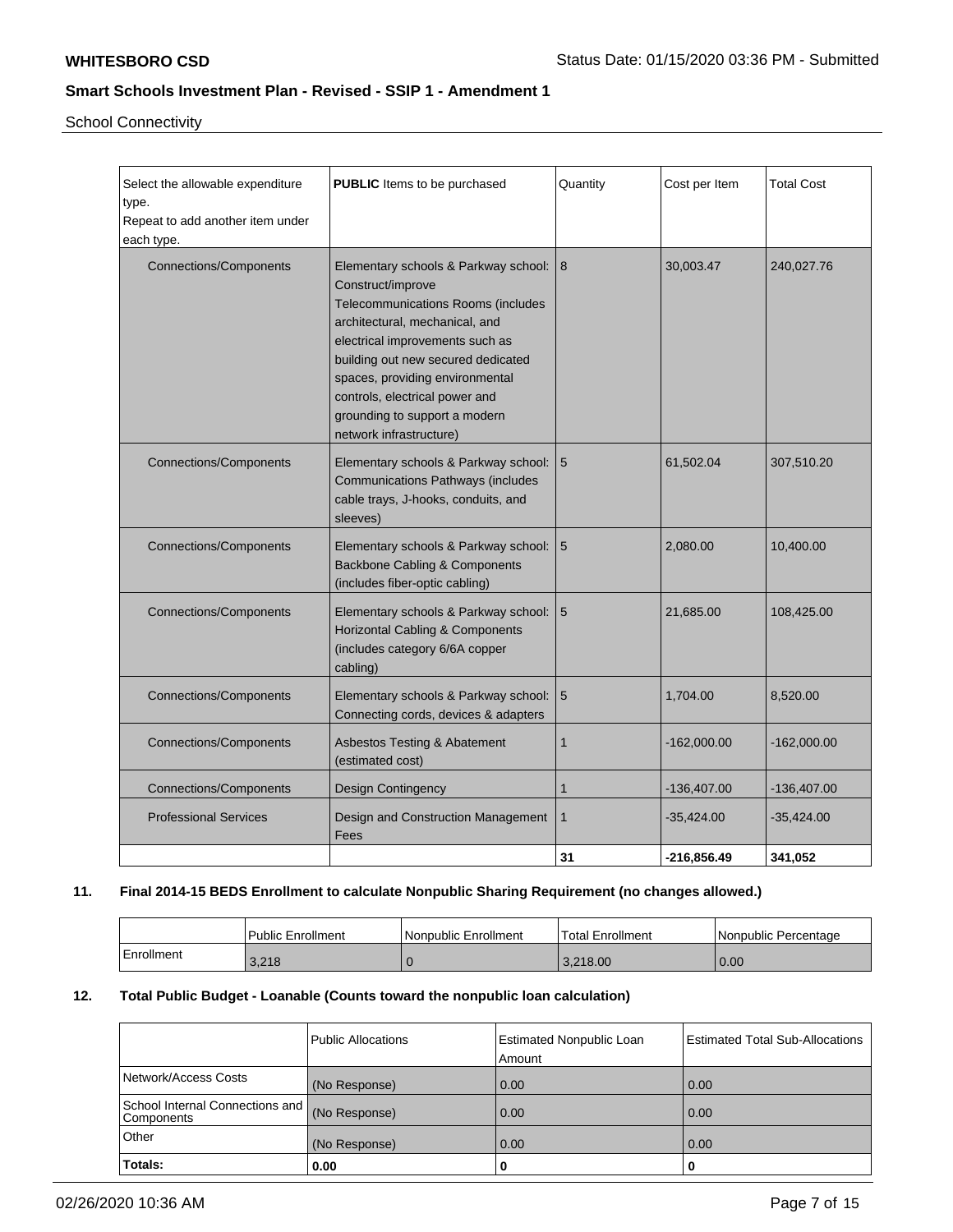School Connectivity

| Select the allowable expenditure<br>type.<br>Repeat to add another item under<br>each type. | <b>PUBLIC</b> Items to be purchased                                                                                                                                                                                                                                                                                                           | Quantity        | Cost per Item | <b>Total Cost</b> |
|---------------------------------------------------------------------------------------------|-----------------------------------------------------------------------------------------------------------------------------------------------------------------------------------------------------------------------------------------------------------------------------------------------------------------------------------------------|-----------------|---------------|-------------------|
| <b>Connections/Components</b>                                                               | Elementary schools & Parkway school: 8<br>Construct/improve<br>Telecommunications Rooms (includes<br>architectural, mechanical, and<br>electrical improvements such as<br>building out new secured dedicated<br>spaces, providing environmental<br>controls, electrical power and<br>grounding to support a modern<br>network infrastructure) |                 | 30,003.47     | 240,027.76        |
| <b>Connections/Components</b>                                                               | Elementary schools & Parkway school:<br><b>Communications Pathways (includes</b><br>cable trays, J-hooks, conduits, and<br>sleeves)                                                                                                                                                                                                           | $5\phantom{1}$  | 61,502.04     | 307,510.20        |
| <b>Connections/Components</b>                                                               | Elementary schools & Parkway school:<br>Backbone Cabling & Components<br>(includes fiber-optic cabling)                                                                                                                                                                                                                                       | $5\overline{5}$ | 2,080.00      | 10,400.00         |
| <b>Connections/Components</b>                                                               | Elementary schools & Parkway school:<br>Horizontal Cabling & Components<br>(includes category 6/6A copper<br>cabling)                                                                                                                                                                                                                         | 5               | 21,685.00     | 108,425.00        |
| <b>Connections/Components</b>                                                               | Elementary schools & Parkway school:<br>Connecting cords, devices & adapters                                                                                                                                                                                                                                                                  | 5               | 1,704.00      | 8,520.00          |
| <b>Connections/Components</b>                                                               | Asbestos Testing & Abatement<br>(estimated cost)                                                                                                                                                                                                                                                                                              | $\mathbf{1}$    | $-162,000.00$ | $-162,000.00$     |
| <b>Connections/Components</b>                                                               | <b>Design Contingency</b>                                                                                                                                                                                                                                                                                                                     | $\mathbf{1}$    | $-136,407.00$ | -136,407.00       |
| <b>Professional Services</b>                                                                | Design and Construction Management<br>Fees                                                                                                                                                                                                                                                                                                    | 1               | $-35,424.00$  | $-35,424.00$      |
|                                                                                             |                                                                                                                                                                                                                                                                                                                                               | 31              | $-216,856.49$ | 341,052           |

## **11. Final 2014-15 BEDS Enrollment to calculate Nonpublic Sharing Requirement (no changes allowed.)**

|            | l Public Enrollment | Nonpublic Enrollment | 'Total Enrollment | l Nonpublic Percentage |
|------------|---------------------|----------------------|-------------------|------------------------|
| Enrollment | 3,218               |                      | 3.218.00          | 0.00                   |

## **12. Total Public Budget - Loanable (Counts toward the nonpublic loan calculation)**

|                                                 | Public Allocations | <b>Estimated Nonpublic Loan</b><br>Amount | <b>Estimated Total Sub-Allocations</b> |
|-------------------------------------------------|--------------------|-------------------------------------------|----------------------------------------|
| Network/Access Costs                            | (No Response)      | 0.00                                      | 0.00                                   |
| School Internal Connections and  <br>Components | (No Response)      | 0.00                                      | 0.00                                   |
| Other                                           | (No Response)      | 0.00                                      | 0.00                                   |
| Totals:                                         | 0.00               | 0                                         | 0                                      |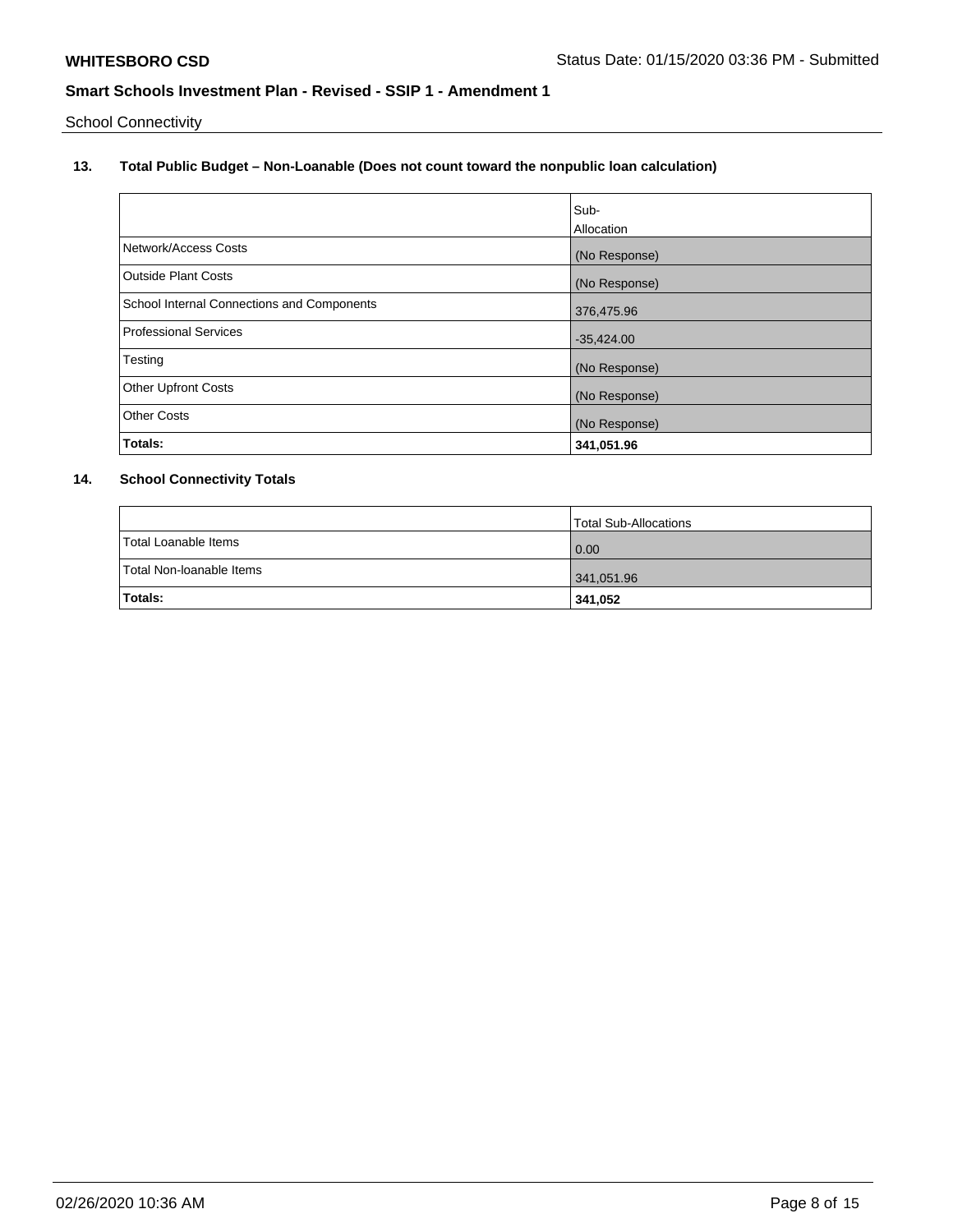School Connectivity

# **13. Total Public Budget – Non-Loanable (Does not count toward the nonpublic loan calculation)**

|                                                   | Sub-<br>Allocation |
|---------------------------------------------------|--------------------|
| Network/Access Costs                              | (No Response)      |
| Outside Plant Costs                               | (No Response)      |
| <b>School Internal Connections and Components</b> | 376,475.96         |
| <b>Professional Services</b>                      | $-35,424.00$       |
| Testing                                           | (No Response)      |
| <b>Other Upfront Costs</b>                        | (No Response)      |
| <b>Other Costs</b>                                | (No Response)      |
| Totals:                                           | 341,051.96         |

# **14. School Connectivity Totals**

|                          | Total Sub-Allocations |
|--------------------------|-----------------------|
| Total Loanable Items     | 0.00                  |
| Total Non-loanable Items | 341,051.96            |
| Totals:                  | 341,052               |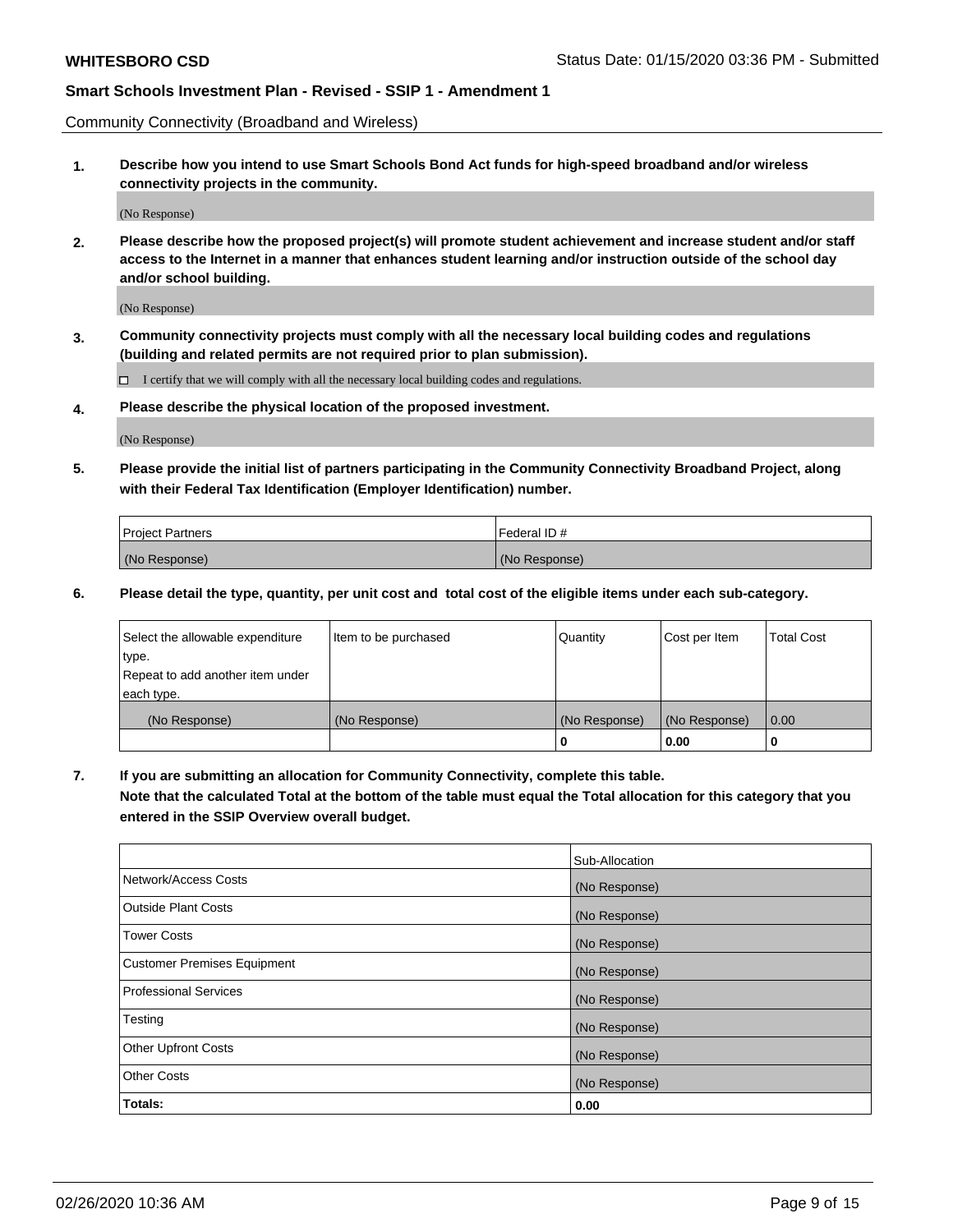Community Connectivity (Broadband and Wireless)

**1. Describe how you intend to use Smart Schools Bond Act funds for high-speed broadband and/or wireless connectivity projects in the community.**

(No Response)

**2. Please describe how the proposed project(s) will promote student achievement and increase student and/or staff access to the Internet in a manner that enhances student learning and/or instruction outside of the school day and/or school building.**

(No Response)

**3. Community connectivity projects must comply with all the necessary local building codes and regulations (building and related permits are not required prior to plan submission).**

 $\Box$  I certify that we will comply with all the necessary local building codes and regulations.

**4. Please describe the physical location of the proposed investment.**

(No Response)

**5. Please provide the initial list of partners participating in the Community Connectivity Broadband Project, along with their Federal Tax Identification (Employer Identification) number.**

| <b>Project Partners</b> | l Federal ID # |
|-------------------------|----------------|
| (No Response)           | (No Response)  |

**6. Please detail the type, quantity, per unit cost and total cost of the eligible items under each sub-category.**

| Select the allowable expenditure | Item to be purchased | Quantity      | Cost per Item | <b>Total Cost</b> |
|----------------------------------|----------------------|---------------|---------------|-------------------|
| type.                            |                      |               |               |                   |
| Repeat to add another item under |                      |               |               |                   |
| each type.                       |                      |               |               |                   |
| (No Response)                    | (No Response)        | (No Response) | (No Response) | 0.00              |
|                                  |                      | o             | 0.00          |                   |

**7. If you are submitting an allocation for Community Connectivity, complete this table.**

**Note that the calculated Total at the bottom of the table must equal the Total allocation for this category that you entered in the SSIP Overview overall budget.**

|                                    | Sub-Allocation |
|------------------------------------|----------------|
| Network/Access Costs               | (No Response)  |
| Outside Plant Costs                | (No Response)  |
| <b>Tower Costs</b>                 | (No Response)  |
| <b>Customer Premises Equipment</b> | (No Response)  |
| <b>Professional Services</b>       | (No Response)  |
| Testing                            | (No Response)  |
| <b>Other Upfront Costs</b>         | (No Response)  |
| <b>Other Costs</b>                 | (No Response)  |
| Totals:                            | 0.00           |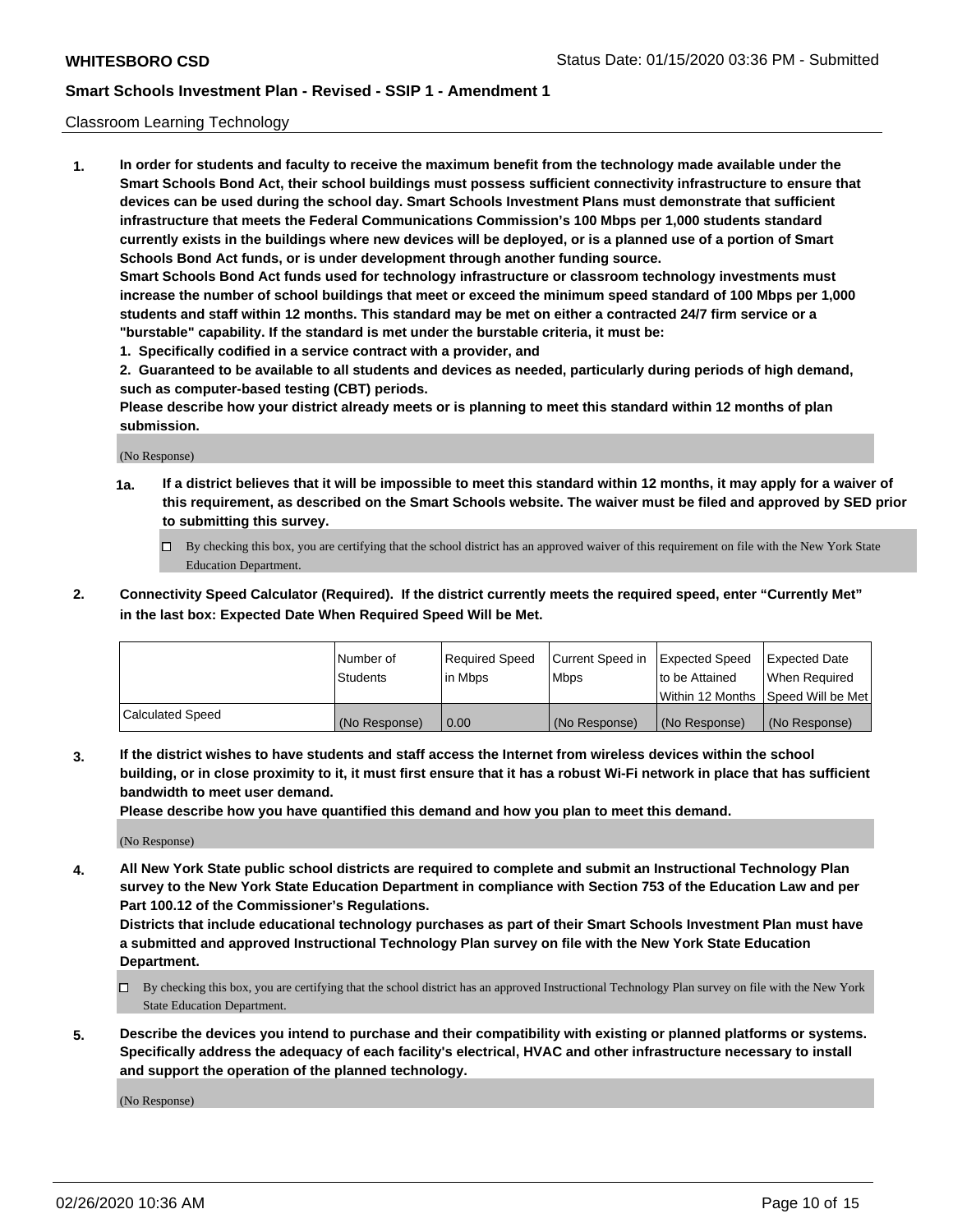### Classroom Learning Technology

**1. In order for students and faculty to receive the maximum benefit from the technology made available under the Smart Schools Bond Act, their school buildings must possess sufficient connectivity infrastructure to ensure that devices can be used during the school day. Smart Schools Investment Plans must demonstrate that sufficient infrastructure that meets the Federal Communications Commission's 100 Mbps per 1,000 students standard currently exists in the buildings where new devices will be deployed, or is a planned use of a portion of Smart Schools Bond Act funds, or is under development through another funding source. Smart Schools Bond Act funds used for technology infrastructure or classroom technology investments must increase the number of school buildings that meet or exceed the minimum speed standard of 100 Mbps per 1,000 students and staff within 12 months. This standard may be met on either a contracted 24/7 firm service or a "burstable" capability. If the standard is met under the burstable criteria, it must be:**

**1. Specifically codified in a service contract with a provider, and**

**2. Guaranteed to be available to all students and devices as needed, particularly during periods of high demand, such as computer-based testing (CBT) periods.**

**Please describe how your district already meets or is planning to meet this standard within 12 months of plan submission.**

(No Response)

- **1a. If a district believes that it will be impossible to meet this standard within 12 months, it may apply for a waiver of this requirement, as described on the Smart Schools website. The waiver must be filed and approved by SED prior to submitting this survey.**
	- By checking this box, you are certifying that the school district has an approved waiver of this requirement on file with the New York State Education Department.
- **2. Connectivity Speed Calculator (Required). If the district currently meets the required speed, enter "Currently Met" in the last box: Expected Date When Required Speed Will be Met.**

|                  | l Number of     | Required Speed | Current Speed in | <b>Expected Speed</b> | <b>Expected Date</b>                |
|------------------|-----------------|----------------|------------------|-----------------------|-------------------------------------|
|                  | <b>Students</b> | l in Mbps      | l Mbps           | to be Attained        | When Required                       |
|                  |                 |                |                  |                       | Within 12 Months  Speed Will be Met |
| Calculated Speed | (No Response)   | 0.00           | (No Response)    | l (No Response)       | (No Response)                       |

**3. If the district wishes to have students and staff access the Internet from wireless devices within the school building, or in close proximity to it, it must first ensure that it has a robust Wi-Fi network in place that has sufficient bandwidth to meet user demand.**

**Please describe how you have quantified this demand and how you plan to meet this demand.**

(No Response)

**4. All New York State public school districts are required to complete and submit an Instructional Technology Plan survey to the New York State Education Department in compliance with Section 753 of the Education Law and per Part 100.12 of the Commissioner's Regulations.**

**Districts that include educational technology purchases as part of their Smart Schools Investment Plan must have a submitted and approved Instructional Technology Plan survey on file with the New York State Education Department.**

- By checking this box, you are certifying that the school district has an approved Instructional Technology Plan survey on file with the New York State Education Department.
- **5. Describe the devices you intend to purchase and their compatibility with existing or planned platforms or systems. Specifically address the adequacy of each facility's electrical, HVAC and other infrastructure necessary to install and support the operation of the planned technology.**

(No Response)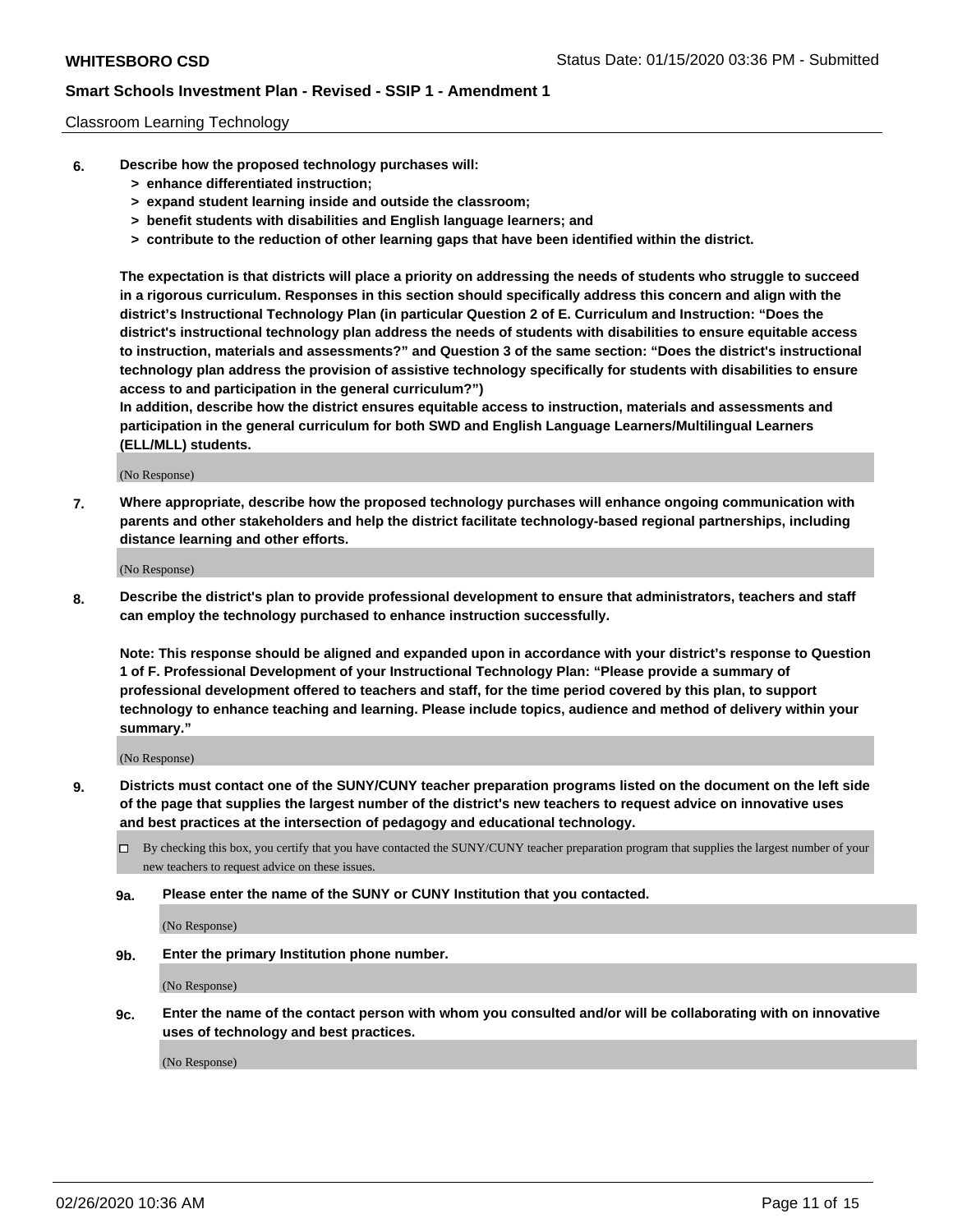### Classroom Learning Technology

- **6. Describe how the proposed technology purchases will:**
	- **> enhance differentiated instruction;**
	- **> expand student learning inside and outside the classroom;**
	- **> benefit students with disabilities and English language learners; and**
	- **> contribute to the reduction of other learning gaps that have been identified within the district.**

**The expectation is that districts will place a priority on addressing the needs of students who struggle to succeed in a rigorous curriculum. Responses in this section should specifically address this concern and align with the district's Instructional Technology Plan (in particular Question 2 of E. Curriculum and Instruction: "Does the district's instructional technology plan address the needs of students with disabilities to ensure equitable access to instruction, materials and assessments?" and Question 3 of the same section: "Does the district's instructional technology plan address the provision of assistive technology specifically for students with disabilities to ensure access to and participation in the general curriculum?")**

**In addition, describe how the district ensures equitable access to instruction, materials and assessments and participation in the general curriculum for both SWD and English Language Learners/Multilingual Learners (ELL/MLL) students.**

(No Response)

**7. Where appropriate, describe how the proposed technology purchases will enhance ongoing communication with parents and other stakeholders and help the district facilitate technology-based regional partnerships, including distance learning and other efforts.**

(No Response)

**8. Describe the district's plan to provide professional development to ensure that administrators, teachers and staff can employ the technology purchased to enhance instruction successfully.**

**Note: This response should be aligned and expanded upon in accordance with your district's response to Question 1 of F. Professional Development of your Instructional Technology Plan: "Please provide a summary of professional development offered to teachers and staff, for the time period covered by this plan, to support technology to enhance teaching and learning. Please include topics, audience and method of delivery within your summary."**

(No Response)

- **9. Districts must contact one of the SUNY/CUNY teacher preparation programs listed on the document on the left side of the page that supplies the largest number of the district's new teachers to request advice on innovative uses and best practices at the intersection of pedagogy and educational technology.**
	- By checking this box, you certify that you have contacted the SUNY/CUNY teacher preparation program that supplies the largest number of your new teachers to request advice on these issues.
	- **9a. Please enter the name of the SUNY or CUNY Institution that you contacted.**

(No Response)

**9b. Enter the primary Institution phone number.**

(No Response)

**9c. Enter the name of the contact person with whom you consulted and/or will be collaborating with on innovative uses of technology and best practices.**

(No Response)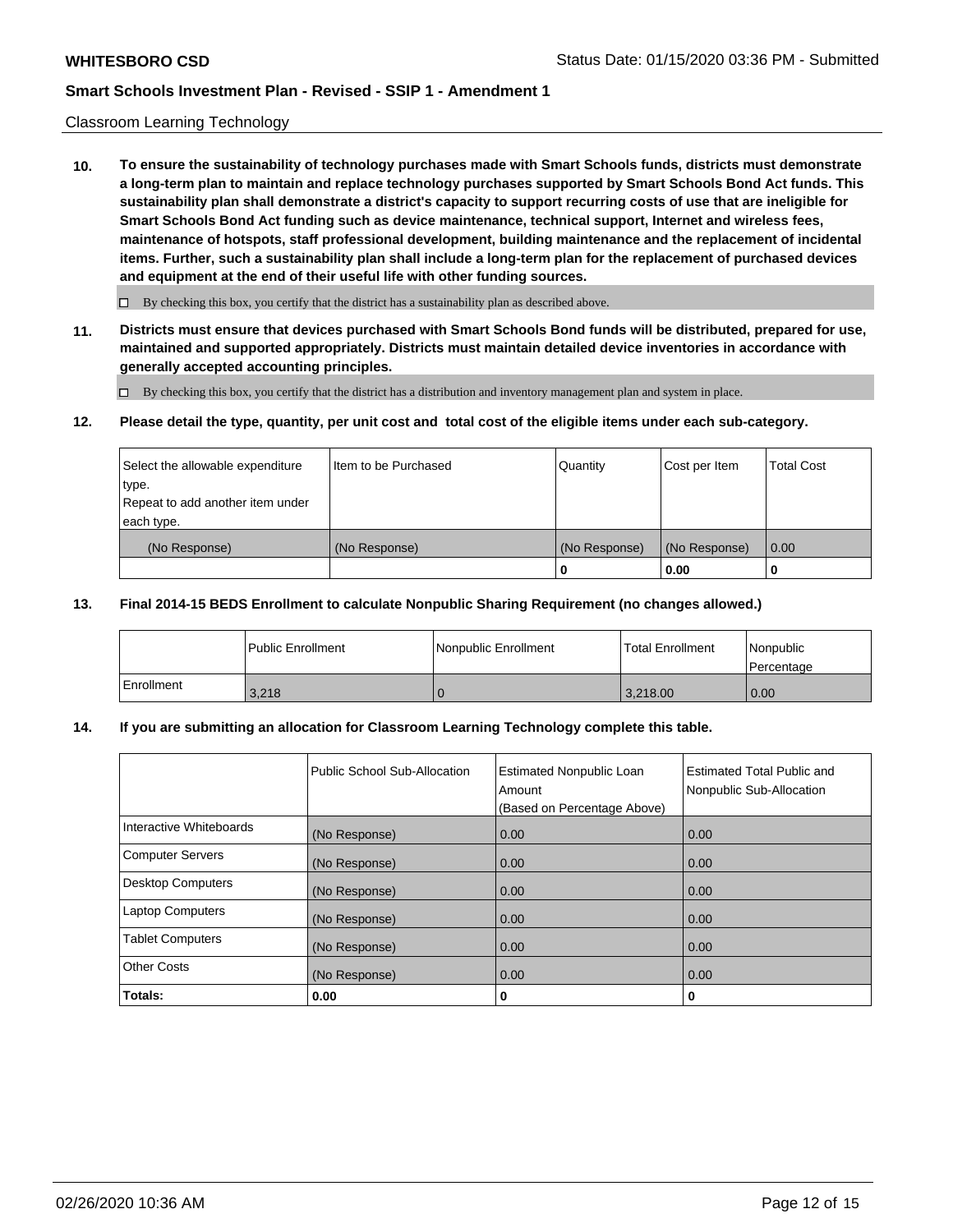### Classroom Learning Technology

**10. To ensure the sustainability of technology purchases made with Smart Schools funds, districts must demonstrate a long-term plan to maintain and replace technology purchases supported by Smart Schools Bond Act funds. This sustainability plan shall demonstrate a district's capacity to support recurring costs of use that are ineligible for Smart Schools Bond Act funding such as device maintenance, technical support, Internet and wireless fees, maintenance of hotspots, staff professional development, building maintenance and the replacement of incidental items. Further, such a sustainability plan shall include a long-term plan for the replacement of purchased devices and equipment at the end of their useful life with other funding sources.**

 $\Box$  By checking this box, you certify that the district has a sustainability plan as described above.

**11. Districts must ensure that devices purchased with Smart Schools Bond funds will be distributed, prepared for use, maintained and supported appropriately. Districts must maintain detailed device inventories in accordance with generally accepted accounting principles.**

By checking this box, you certify that the district has a distribution and inventory management plan and system in place.

#### **12. Please detail the type, quantity, per unit cost and total cost of the eligible items under each sub-category.**

| Select the allowable expenditure<br>type.<br>Repeat to add another item under | Item to be Purchased | Quantity      | Cost per Item | <b>Total Cost</b> |
|-------------------------------------------------------------------------------|----------------------|---------------|---------------|-------------------|
| each type.<br>(No Response)                                                   | (No Response)        | (No Response) | (No Response) | 0.00              |
|                                                                               |                      | 0             | 0.00          |                   |

### **13. Final 2014-15 BEDS Enrollment to calculate Nonpublic Sharing Requirement (no changes allowed.)**

|            | l Public Enrollment | <b>INonpublic Enrollment</b> | <b>Total Enrollment</b> | Nonpublic<br>l Percentage |
|------------|---------------------|------------------------------|-------------------------|---------------------------|
| Enrollment | 3,218               |                              | 3.218.00                | 0.00                      |

### **14. If you are submitting an allocation for Classroom Learning Technology complete this table.**

|                         | Public School Sub-Allocation | <b>Estimated Nonpublic Loan</b><br>Amount<br>(Based on Percentage Above) | Estimated Total Public and<br>Nonpublic Sub-Allocation |
|-------------------------|------------------------------|--------------------------------------------------------------------------|--------------------------------------------------------|
| Interactive Whiteboards | (No Response)                | 0.00                                                                     | 0.00                                                   |
| Computer Servers        | (No Response)                | 0.00                                                                     | 0.00                                                   |
| Desktop Computers       | (No Response)                | 0.00                                                                     | 0.00                                                   |
| <b>Laptop Computers</b> | (No Response)                | 0.00                                                                     | 0.00                                                   |
| <b>Tablet Computers</b> | (No Response)                | 0.00                                                                     | 0.00                                                   |
| Other Costs             | (No Response)                | 0.00                                                                     | 0.00                                                   |
| Totals:                 | 0.00                         | 0                                                                        | 0                                                      |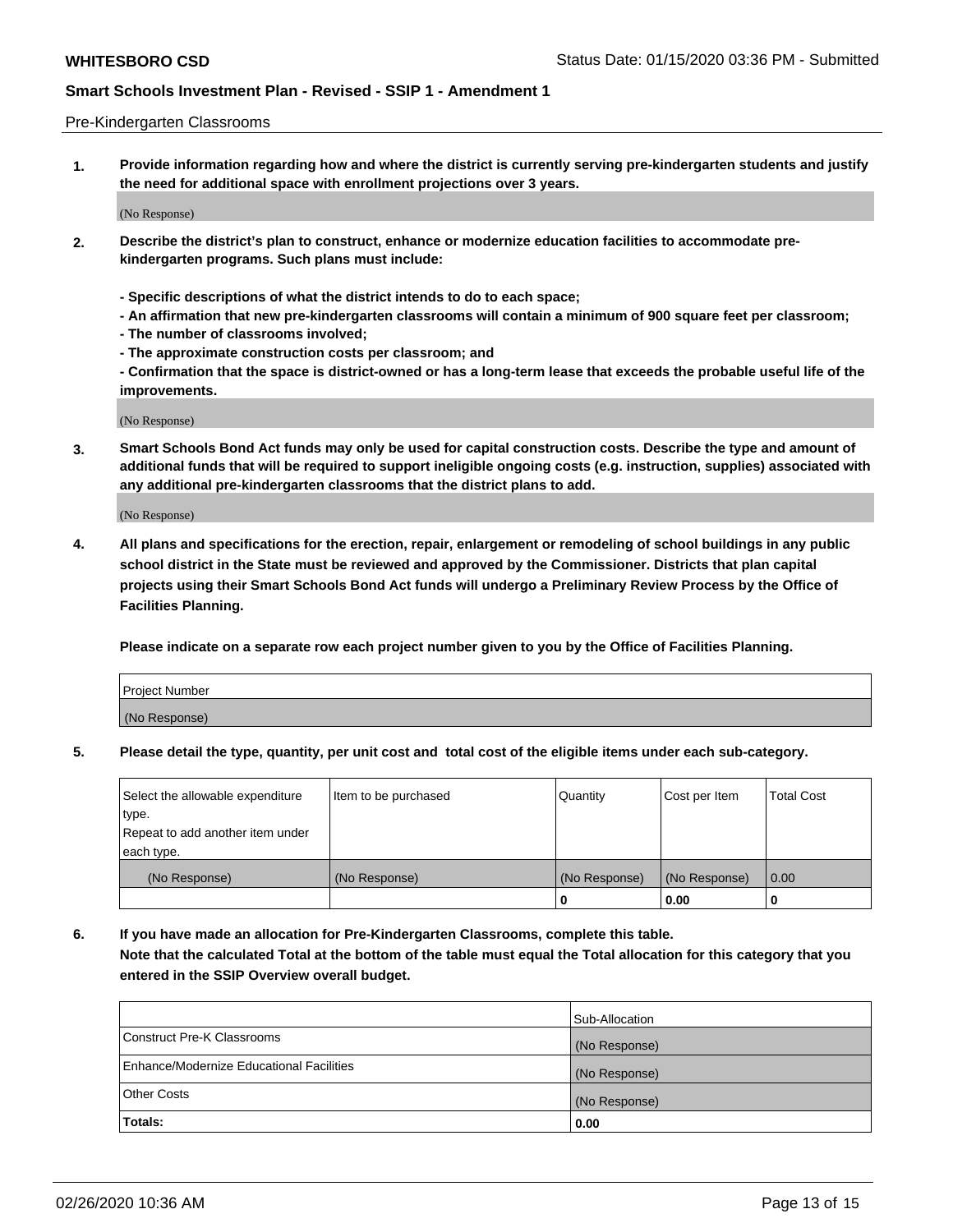#### Pre-Kindergarten Classrooms

**1. Provide information regarding how and where the district is currently serving pre-kindergarten students and justify the need for additional space with enrollment projections over 3 years.**

(No Response)

- **2. Describe the district's plan to construct, enhance or modernize education facilities to accommodate prekindergarten programs. Such plans must include:**
	- **Specific descriptions of what the district intends to do to each space;**
	- **An affirmation that new pre-kindergarten classrooms will contain a minimum of 900 square feet per classroom;**
	- **The number of classrooms involved;**
	- **The approximate construction costs per classroom; and**
	- **Confirmation that the space is district-owned or has a long-term lease that exceeds the probable useful life of the improvements.**

(No Response)

**3. Smart Schools Bond Act funds may only be used for capital construction costs. Describe the type and amount of additional funds that will be required to support ineligible ongoing costs (e.g. instruction, supplies) associated with any additional pre-kindergarten classrooms that the district plans to add.**

(No Response)

**4. All plans and specifications for the erection, repair, enlargement or remodeling of school buildings in any public school district in the State must be reviewed and approved by the Commissioner. Districts that plan capital projects using their Smart Schools Bond Act funds will undergo a Preliminary Review Process by the Office of Facilities Planning.**

**Please indicate on a separate row each project number given to you by the Office of Facilities Planning.**

| Project Number |  |
|----------------|--|
| (No Response)  |  |
|                |  |

**5. Please detail the type, quantity, per unit cost and total cost of the eligible items under each sub-category.**

| Select the allowable expenditure | Item to be purchased | Quantity      | Cost per Item | <b>Total Cost</b> |
|----------------------------------|----------------------|---------------|---------------|-------------------|
| type.                            |                      |               |               |                   |
| Repeat to add another item under |                      |               |               |                   |
| each type.                       |                      |               |               |                   |
| (No Response)                    | (No Response)        | (No Response) | (No Response) | 0.00              |
|                                  |                      | U             | 0.00          |                   |

**6. If you have made an allocation for Pre-Kindergarten Classrooms, complete this table. Note that the calculated Total at the bottom of the table must equal the Total allocation for this category that you entered in the SSIP Overview overall budget.**

|                                          | Sub-Allocation |
|------------------------------------------|----------------|
| Construct Pre-K Classrooms               | (No Response)  |
| Enhance/Modernize Educational Facilities | (No Response)  |
| <b>Other Costs</b>                       | (No Response)  |
| Totals:                                  | 0.00           |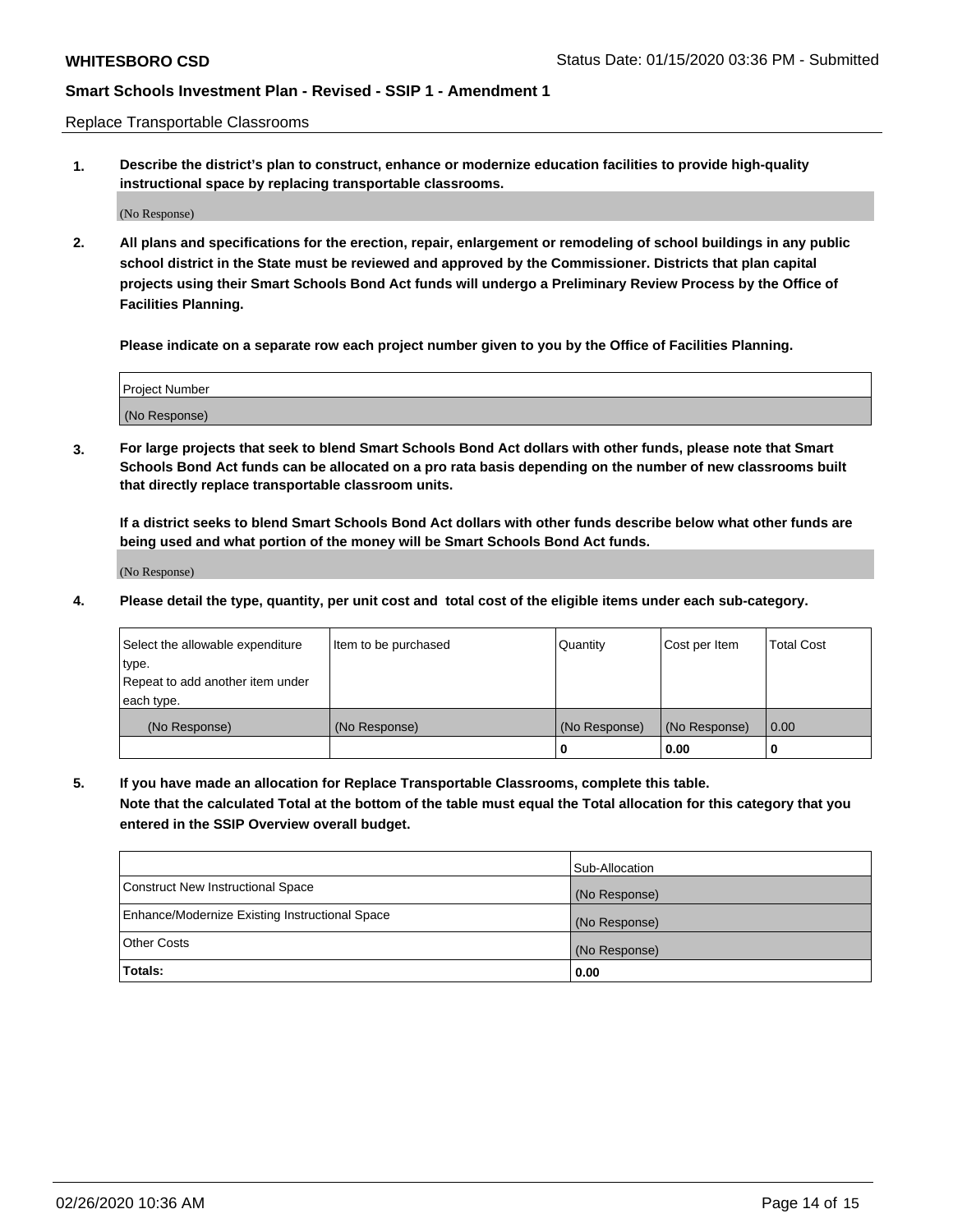Replace Transportable Classrooms

**1. Describe the district's plan to construct, enhance or modernize education facilities to provide high-quality instructional space by replacing transportable classrooms.**

(No Response)

**2. All plans and specifications for the erection, repair, enlargement or remodeling of school buildings in any public school district in the State must be reviewed and approved by the Commissioner. Districts that plan capital projects using their Smart Schools Bond Act funds will undergo a Preliminary Review Process by the Office of Facilities Planning.**

**Please indicate on a separate row each project number given to you by the Office of Facilities Planning.**

| Project Number |  |
|----------------|--|
|                |  |
| (No Response)  |  |

**3. For large projects that seek to blend Smart Schools Bond Act dollars with other funds, please note that Smart Schools Bond Act funds can be allocated on a pro rata basis depending on the number of new classrooms built that directly replace transportable classroom units.**

**If a district seeks to blend Smart Schools Bond Act dollars with other funds describe below what other funds are being used and what portion of the money will be Smart Schools Bond Act funds.**

(No Response)

**4. Please detail the type, quantity, per unit cost and total cost of the eligible items under each sub-category.**

| Select the allowable expenditure | Item to be purchased | Quantity      | Cost per Item | Total Cost |
|----------------------------------|----------------------|---------------|---------------|------------|
| ∣type.                           |                      |               |               |            |
| Repeat to add another item under |                      |               |               |            |
| each type.                       |                      |               |               |            |
| (No Response)                    | (No Response)        | (No Response) | (No Response) | 0.00       |
|                                  |                      | u             | 0.00          |            |

**5. If you have made an allocation for Replace Transportable Classrooms, complete this table. Note that the calculated Total at the bottom of the table must equal the Total allocation for this category that you entered in the SSIP Overview overall budget.**

|                                                | Sub-Allocation |
|------------------------------------------------|----------------|
| Construct New Instructional Space              | (No Response)  |
| Enhance/Modernize Existing Instructional Space | (No Response)  |
| Other Costs                                    | (No Response)  |
| Totals:                                        | 0.00           |